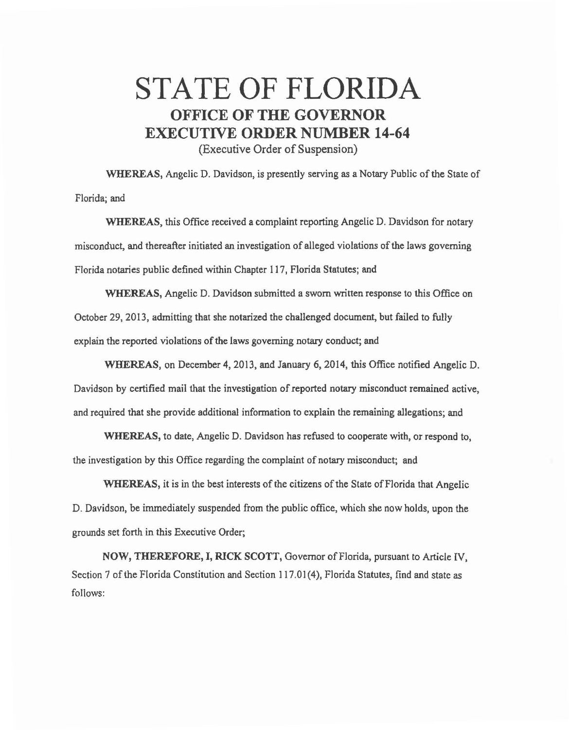## STATE OF FLORIDA OFFICE OF THE GOVERNOR EXECUTIVE ORDER NUMBER 14-64

(Executive Order of Suspension)

WHEREAS, Angelic D. Davidson, is presently serving as a Notary Public of the State of Florida; and

WHEREAS, this Office received a complaint reporting Angelic D. Davidson for notary misconduct, and thereafter initiated an investigation of alleged violations of the laws governing Florida notaries public defined within Chapter 117, Florida Statutes; and

WHEREAS, Angelic D. Davidson submitted a sworn written response to this Office on October 29, 2013, admitting that she notarized the challenged document, but failed to fully explain the reported violations of the laws governing notary conduct; and

WHEREAS, on December 4, 2013, and January 6, 2014, this Office notified Angelic D. Davidson by certified mail that the investigation of reported notary misconduct remained active, and required that she provide additional information to explain the remaining allegations; and

WHEREAS, to date, Angelic D. Davidson has refused to cooperate with, or respond to, the investigation by this Office regarding the complaint of notary misconduct; and

WHEREAS, it is in the best interests of the citizens of the State of Florida that Angelic D. Davidson, be immediately suspended from the public office, which she now holds, upon the grounds set forth in this Executive Order;

NOW, THEREFORE, I, RICK SCOTT, Governor of Florida, pursuant to Article IV, Section 7 of the Florida Constitution and Section 117.01(4), Florida Statutes, find and state as follows: